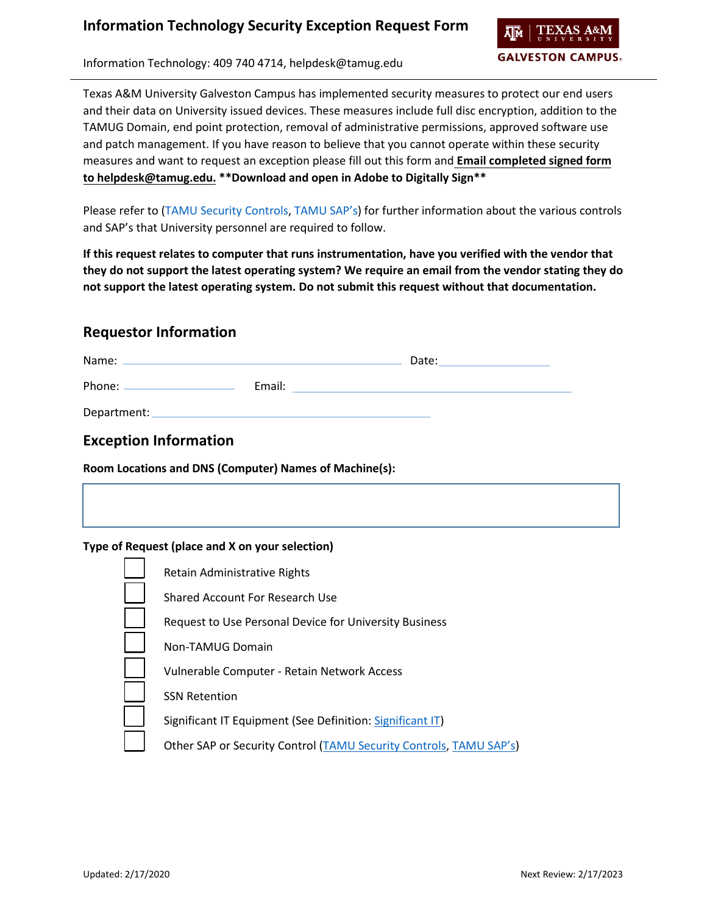

Information Technology: 409 740 4714, helpdesk@tamug.edu

Texas A&M University Galveston Campus has implemented security measures to protect our end users and their data on University issued devices. These measures include full disc encryption, addition to the TAMUG Domain, end point protection, removal of administrative permissions, approved software use and patch management. If you have reason to believe that you cannot operate within these security measures and want to request an exception please fill out this form and **Email completed signed form to helpdesk@tamug.edu. \*\*Download and open in Adobe to Digitally Sign\*\***

Please refer to [\(TAMU Security Controls,](https://it.tamu.edu/policy/it-policy/controls-catalog/index.php) [TAMU SAP's\)](http://rules-saps.tamu.edu/TAMUGRulesAndSAPs.aspx#29) for further information about the various controls and SAP's that University personnel are required to follow.

**If this request relates to computer that runs instrumentation, have you verified with the vendor that they do not support the latest operating system? We require an email from the vendor stating they do not support the latest operating system. Do not submit this request without that documentation.**

### **Requestor Information**

| Name:       |        | Date: |
|-------------|--------|-------|
|             | Email: |       |
| Department: |        |       |

## **Exception Information**

**Room Locations and DNS (Computer) Names of Machine(s):**

#### **Type of Request (place and X on your selection)**

| Retain Administrative Rights                                       |
|--------------------------------------------------------------------|
| Shared Account For Research Use                                    |
| Request to Use Personal Device for University Business             |
| Non-TAMUG Domain                                                   |
| Vulnerable Computer - Retain Network Access                        |
| <b>SSN Retention</b>                                               |
| Significant IT Equipment (See Definition: Significant IT)          |
| Other SAP or Security Control (TAMU Security Controls, TAMU SAP's) |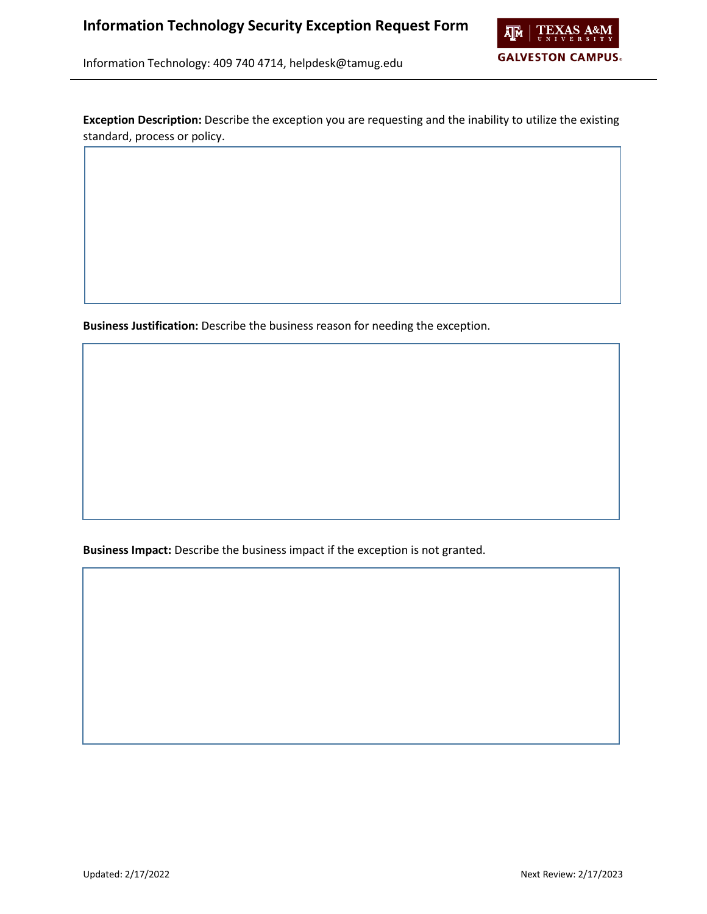

Information Technology: 409 740 4714, helpdesk@tamug.edu

**Exception Description:** Describe the exception you are requesting and the inability to utilize the existing standard, process or policy.

**Business Justification:** Describe the business reason for needing the exception.

**Business Impact:** Describe the business impact if the exception is not granted.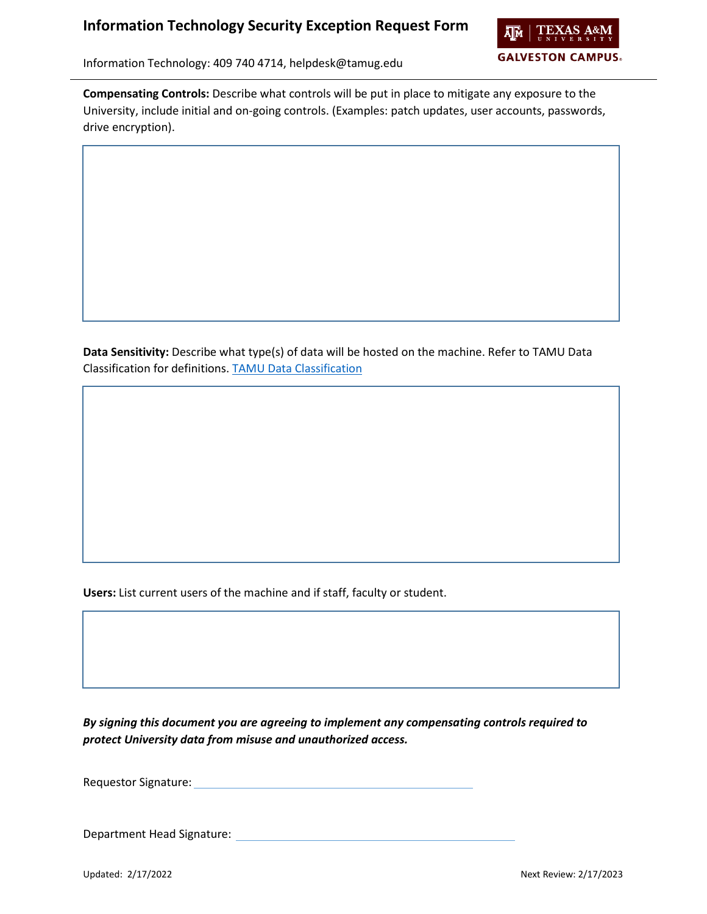### **Information Technology Security Exception Request Form**



Information Technology: 409 740 4714, helpdesk@tamug.edu

**Compensating Controls:** Describe what controls will be put in place to mitigate any exposure to the University, include initial and on-going controls. (Examples: patch updates, user accounts, passwords, drive encryption).

**Data Sensitivity:** Describe what type(s) of data will be hosted on the machine. Refer to TAMU Data Classification for definitions. [TAMU Data Classification](https://it.tamu.edu/policy/it-policy/controls-catalog/standards/data_classification_standard.pdf)

**Users:** List current users of the machine and if staff, faculty or student.

*By signing this document you are agreeing to implement any compensating controls required to protect University data from misuse and unauthorized access.*

Requestor Signature:

Department Head Signature: